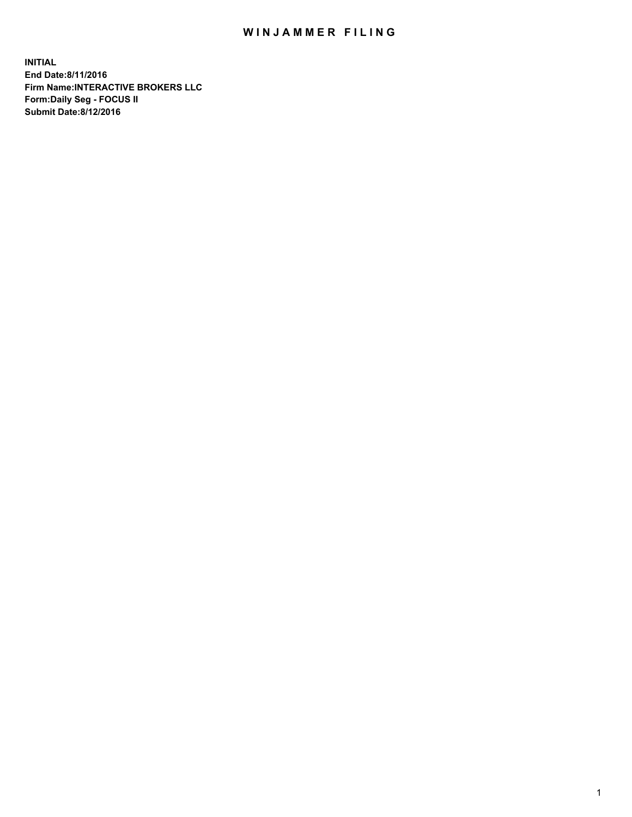## WIN JAMMER FILING

**INITIAL End Date:8/11/2016 Firm Name:INTERACTIVE BROKERS LLC Form:Daily Seg - FOCUS II Submit Date:8/12/2016**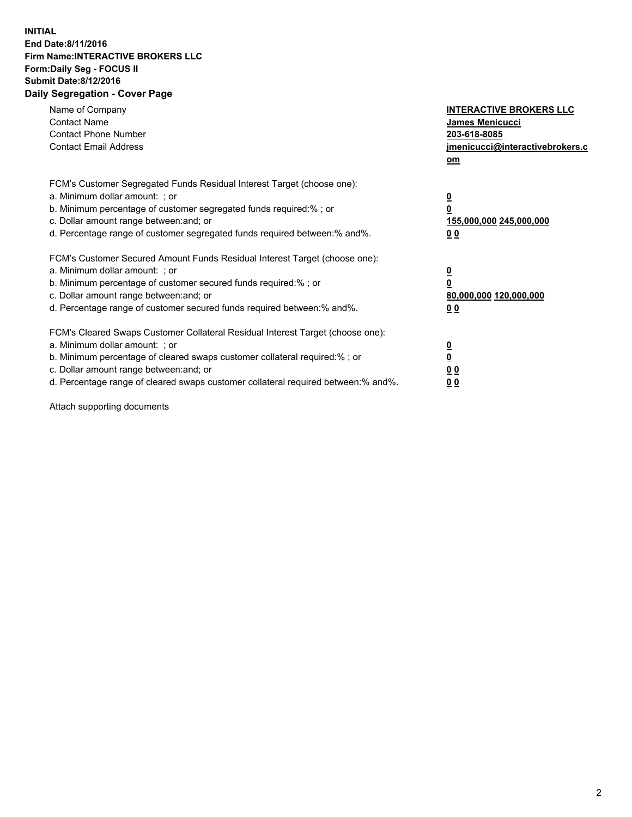## **INITIAL End Date:8/11/2016 Firm Name:INTERACTIVE BROKERS LLC Form:Daily Seg - FOCUS II Submit Date:8/12/2016 Daily Segregation - Cover Page**

| Name of Company<br><b>Contact Name</b><br><b>Contact Phone Number</b><br><b>Contact Email Address</b>                                                                                                                                                                                                                          | <b>INTERACTIVE BROKERS LLC</b><br><b>James Menicucci</b><br>203-618-8085<br>jmenicucci@interactivebrokers.c<br>om |
|--------------------------------------------------------------------------------------------------------------------------------------------------------------------------------------------------------------------------------------------------------------------------------------------------------------------------------|-------------------------------------------------------------------------------------------------------------------|
| FCM's Customer Segregated Funds Residual Interest Target (choose one):<br>a. Minimum dollar amount: ; or<br>b. Minimum percentage of customer segregated funds required:%; or<br>c. Dollar amount range between: and; or<br>d. Percentage range of customer segregated funds required between:% and%.                          | $\overline{\mathbf{0}}$<br>0<br>155,000,000 245,000,000<br>0 <sub>0</sub>                                         |
| FCM's Customer Secured Amount Funds Residual Interest Target (choose one):<br>a. Minimum dollar amount: ; or<br>b. Minimum percentage of customer secured funds required:%; or<br>c. Dollar amount range between: and; or<br>d. Percentage range of customer secured funds required between: % and %.                          | $\overline{\mathbf{0}}$<br>0<br>80,000,000 120,000,000<br>00                                                      |
| FCM's Cleared Swaps Customer Collateral Residual Interest Target (choose one):<br>a. Minimum dollar amount: ; or<br>b. Minimum percentage of cleared swaps customer collateral required:% ; or<br>c. Dollar amount range between: and; or<br>d. Percentage range of cleared swaps customer collateral required between:% and%. | $\overline{\mathbf{0}}$<br>$\overline{\mathbf{0}}$<br>0 <sub>0</sub><br><u>00</u>                                 |

Attach supporting documents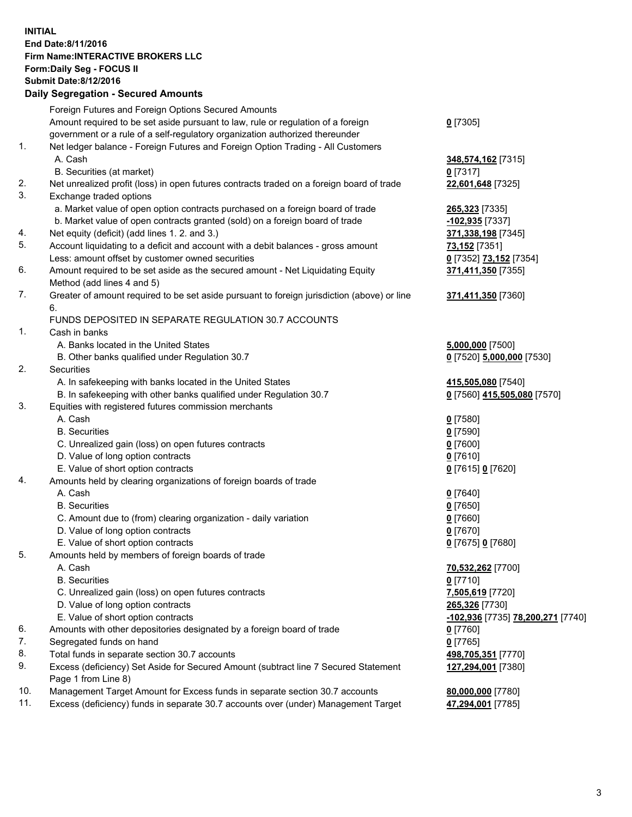## **INITIAL End Date:8/11/2016 Firm Name:INTERACTIVE BROKERS LLC Form:Daily Seg - FOCUS II Submit Date:8/12/2016 Daily Segregation - Secured Amounts**

|     | Daily Segregation - Secured Amounts                                                                        |                                   |
|-----|------------------------------------------------------------------------------------------------------------|-----------------------------------|
|     | Foreign Futures and Foreign Options Secured Amounts                                                        |                                   |
|     | Amount required to be set aside pursuant to law, rule or regulation of a foreign                           | $0$ [7305]                        |
|     | government or a rule of a self-regulatory organization authorized thereunder                               |                                   |
| 1.  | Net ledger balance - Foreign Futures and Foreign Option Trading - All Customers                            |                                   |
|     | A. Cash                                                                                                    | 348,574,162 [7315]                |
|     | B. Securities (at market)                                                                                  | $0$ [7317]                        |
| 2.  | Net unrealized profit (loss) in open futures contracts traded on a foreign board of trade                  | 22,601,648 [7325]                 |
| 3.  | Exchange traded options                                                                                    |                                   |
|     | a. Market value of open option contracts purchased on a foreign board of trade                             | <b>265,323</b> [7335]             |
|     | b. Market value of open contracts granted (sold) on a foreign board of trade                               | -102,935 [7337]                   |
| 4.  | Net equity (deficit) (add lines 1.2. and 3.)                                                               | 371,338,198 [7345]                |
| 5.  | Account liquidating to a deficit and account with a debit balances - gross amount                          | 73,152 [7351]                     |
|     | Less: amount offset by customer owned securities                                                           | 0 [7352] 73,152 [7354]            |
| 6.  | Amount required to be set aside as the secured amount - Net Liquidating Equity                             | 371,411,350 [7355]                |
|     | Method (add lines 4 and 5)                                                                                 |                                   |
| 7.  | Greater of amount required to be set aside pursuant to foreign jurisdiction (above) or line                | 371,411,350 [7360]                |
|     | 6.                                                                                                         |                                   |
|     | FUNDS DEPOSITED IN SEPARATE REGULATION 30.7 ACCOUNTS                                                       |                                   |
| 1.  | Cash in banks                                                                                              |                                   |
|     | A. Banks located in the United States                                                                      | 5,000,000 [7500]                  |
|     | B. Other banks qualified under Regulation 30.7                                                             | 0 [7520] 5,000,000 [7530]         |
| 2.  | Securities                                                                                                 |                                   |
|     | A. In safekeeping with banks located in the United States                                                  | 415,505,080 [7540]                |
|     | B. In safekeeping with other banks qualified under Regulation 30.7                                         | 0 [7560] 415,505,080 [7570]       |
| 3.  | Equities with registered futures commission merchants                                                      |                                   |
|     | A. Cash                                                                                                    | $0$ [7580]                        |
|     | <b>B.</b> Securities                                                                                       | $0$ [7590]                        |
|     | C. Unrealized gain (loss) on open futures contracts                                                        | $0$ [7600]                        |
|     | D. Value of long option contracts                                                                          | $0$ [7610]                        |
|     | E. Value of short option contracts                                                                         | 0 [7615] 0 [7620]                 |
| 4.  | Amounts held by clearing organizations of foreign boards of trade                                          |                                   |
|     | A. Cash                                                                                                    | $0$ [7640]                        |
|     | <b>B.</b> Securities                                                                                       | $0$ [7650]                        |
|     | C. Amount due to (from) clearing organization - daily variation                                            | $0$ [7660]                        |
|     | D. Value of long option contracts                                                                          | $0$ [7670]                        |
|     | E. Value of short option contracts                                                                         | 0 [7675] 0 [7680]                 |
| 5.  | Amounts held by members of foreign boards of trade                                                         |                                   |
|     | A. Cash                                                                                                    | 70,532,262 [7700]                 |
|     | <b>B.</b> Securities                                                                                       | $0$ [7710]                        |
|     | C. Unrealized gain (loss) on open futures contracts                                                        | 7,505,619 [7720]                  |
|     | D. Value of long option contracts                                                                          | 265,326 [7730]                    |
|     | E. Value of short option contracts                                                                         | -102,936 [7735] 78,200,271 [7740] |
| 6.  | Amounts with other depositories designated by a foreign board of trade                                     | 0 [7760]                          |
| 7.  | Segregated funds on hand                                                                                   | $0$ [7765]                        |
| 8.  | Total funds in separate section 30.7 accounts                                                              | 498,705,351 [7770]                |
| 9.  | Excess (deficiency) Set Aside for Secured Amount (subtract line 7 Secured Statement<br>Page 1 from Line 8) | 127,294,001 [7380]                |
| 10. | Management Target Amount for Excess funds in separate section 30.7 accounts                                | 80,000,000 [7780]                 |
| 11. | Excess (deficiency) funds in separate 30.7 accounts over (under) Management Target                         | 47,294,001 [7785]                 |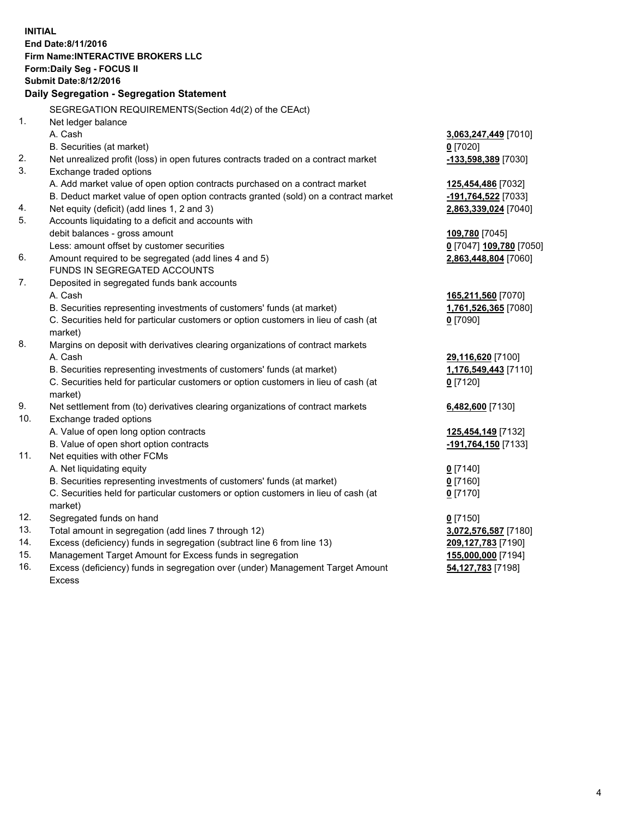**INITIAL End Date:8/11/2016 Firm Name:INTERACTIVE BROKERS LLC Form:Daily Seg - FOCUS II Submit Date:8/12/2016 Daily Segregation - Segregation Statement** SEGREGATION REQUIREMENTS(Section 4d(2) of the CEAct) 1. Net ledger balance A. Cash **3,063,247,449** [7010] B. Securities (at market) **0** [7020] 2. Net unrealized profit (loss) in open futures contracts traded on a contract market **-133,598,389** [7030] 3. Exchange traded options A. Add market value of open option contracts purchased on a contract market **125,454,486** [7032] B. Deduct market value of open option contracts granted (sold) on a contract market **-191,764,522** [7033] 4. Net equity (deficit) (add lines 1, 2 and 3) **2,863,339,024** [7040] 5. Accounts liquidating to a deficit and accounts with debit balances - gross amount **109,780** [7045] Less: amount offset by customer securities **0** [7047] **109,780** [7050] 6. Amount required to be segregated (add lines 4 and 5) **2,863,448,804** [7060] FUNDS IN SEGREGATED ACCOUNTS 7. Deposited in segregated funds bank accounts A. Cash **165,211,560** [7070] B. Securities representing investments of customers' funds (at market) **1,761,526,365** [7080] C. Securities held for particular customers or option customers in lieu of cash (at market) **0** [7090] 8. Margins on deposit with derivatives clearing organizations of contract markets A. Cash **29,116,620** [7100] B. Securities representing investments of customers' funds (at market) **1,176,549,443** [7110] C. Securities held for particular customers or option customers in lieu of cash (at market) **0** [7120] 9. Net settlement from (to) derivatives clearing organizations of contract markets **6,482,600** [7130] 10. Exchange traded options A. Value of open long option contracts **125,454,149** [7132] B. Value of open short option contracts **-191,764,150** [7133] 11. Net equities with other FCMs A. Net liquidating equity **0** [7140] B. Securities representing investments of customers' funds (at market) **0** [7160] C. Securities held for particular customers or option customers in lieu of cash (at market) **0** [7170] 12. Segregated funds on hand **0** [7150] 13. Total amount in segregation (add lines 7 through 12) **3,072,576,587** [7180] 14. Excess (deficiency) funds in segregation (subtract line 6 from line 13) **209,127,783** [7190] 15. Management Target Amount for Excess funds in segregation **155,000,000** [7194] **54,127,783** [7198]

16. Excess (deficiency) funds in segregation over (under) Management Target Amount Excess